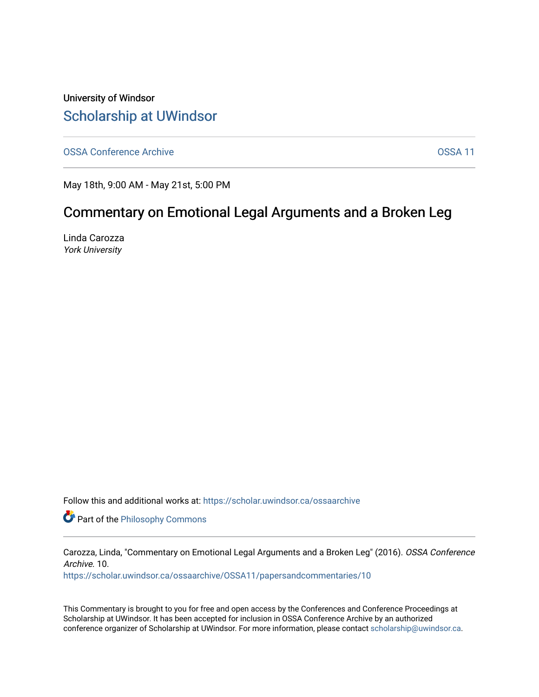University of Windsor [Scholarship at UWindsor](https://scholar.uwindsor.ca/) 

[OSSA Conference Archive](https://scholar.uwindsor.ca/ossaarchive) **OSSA 11** 

May 18th, 9:00 AM - May 21st, 5:00 PM

# Commentary on Emotional Legal Arguments and a Broken Leg

Linda Carozza York University

Follow this and additional works at: [https://scholar.uwindsor.ca/ossaarchive](https://scholar.uwindsor.ca/ossaarchive?utm_source=scholar.uwindsor.ca%2Fossaarchive%2FOSSA11%2Fpapersandcommentaries%2F10&utm_medium=PDF&utm_campaign=PDFCoverPages)

**Part of the Philosophy Commons** 

Carozza, Linda, "Commentary on Emotional Legal Arguments and a Broken Leg" (2016). OSSA Conference Archive. 10.

[https://scholar.uwindsor.ca/ossaarchive/OSSA11/papersandcommentaries/10](https://scholar.uwindsor.ca/ossaarchive/OSSA11/papersandcommentaries/10?utm_source=scholar.uwindsor.ca%2Fossaarchive%2FOSSA11%2Fpapersandcommentaries%2F10&utm_medium=PDF&utm_campaign=PDFCoverPages) 

This Commentary is brought to you for free and open access by the Conferences and Conference Proceedings at Scholarship at UWindsor. It has been accepted for inclusion in OSSA Conference Archive by an authorized conference organizer of Scholarship at UWindsor. For more information, please contact [scholarship@uwindsor.ca.](mailto:scholarship@uwindsor.ca)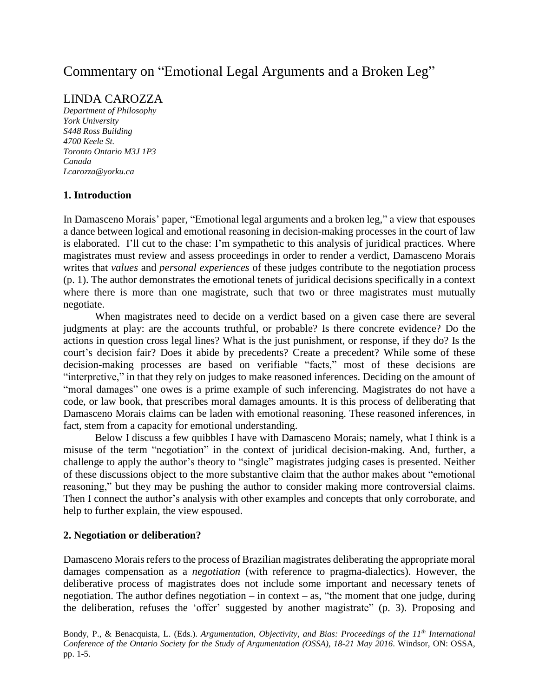# Commentary on "Emotional Legal Arguments and a Broken Leg"

## LINDA CAROZZA

*Department of Philosophy York University S448 Ross Building 4700 Keele St. Toronto Ontario M3J 1P3 Canada Lcarozza@yorku.ca*

#### **1. Introduction**

In Damasceno Morais' paper, "Emotional legal arguments and a broken leg," a view that espouses a dance between logical and emotional reasoning in decision-making processes in the court of law is elaborated. I'll cut to the chase: I'm sympathetic to this analysis of juridical practices. Where magistrates must review and assess proceedings in order to render a verdict, Damasceno Morais writes that *values* and *personal experiences* of these judges contribute to the negotiation process (p. 1). The author demonstrates the emotional tenets of juridical decisions specifically in a context where there is more than one magistrate, such that two or three magistrates must mutually negotiate.

When magistrates need to decide on a verdict based on a given case there are several judgments at play: are the accounts truthful, or probable? Is there concrete evidence? Do the actions in question cross legal lines? What is the just punishment, or response, if they do? Is the court's decision fair? Does it abide by precedents? Create a precedent? While some of these decision-making processes are based on verifiable "facts," most of these decisions are "interpretive," in that they rely on judges to make reasoned inferences. Deciding on the amount of "moral damages" one owes is a prime example of such inferencing. Magistrates do not have a code, or law book, that prescribes moral damages amounts. It is this process of deliberating that Damasceno Morais claims can be laden with emotional reasoning. These reasoned inferences, in fact, stem from a capacity for emotional understanding.

Below I discuss a few quibbles I have with Damasceno Morais; namely, what I think is a misuse of the term "negotiation" in the context of juridical decision-making. And, further, a challenge to apply the author's theory to "single" magistrates judging cases is presented. Neither of these discussions object to the more substantive claim that the author makes about "emotional reasoning," but they may be pushing the author to consider making more controversial claims. Then I connect the author's analysis with other examples and concepts that only corroborate, and help to further explain, the view espoused.

#### **2. Negotiation or deliberation?**

Damasceno Morais refers to the process of Brazilian magistrates deliberating the appropriate moral damages compensation as a *negotiation* (with reference to pragma-dialectics). However, the deliberative process of magistrates does not include some important and necessary tenets of negotiation. The author defines negotiation – in context – as, "the moment that one judge, during the deliberation, refuses the 'offer' suggested by another magistrate" (p. 3). Proposing and

Bondy, P., & Benacquista, L. (Eds.). *Argumentation, Objectivity, and Bias: Proceedings of the 11th International Conference of the Ontario Society for the Study of Argumentation (OSSA), 18-21 May 2016*. Windsor, ON: OSSA, pp. 1-5.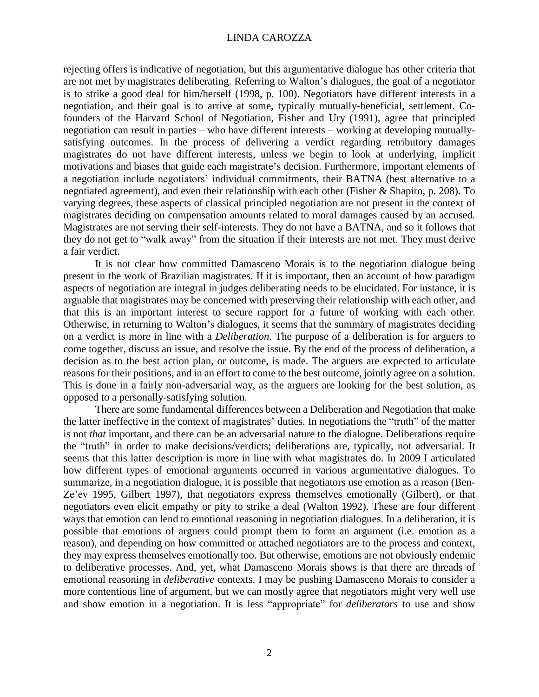#### LINDA CAROZZA

rejecting offers is indicative of negotiation, but this argumentative dialogue has other criteria that are not met by magistrates deliberating. Referring to Walton's dialogues, the goal of a negotiator is to strike a good deal for him/herself (1998, p. 100). Negotiators have different interests in a negotiation, and their goal is to arrive at some, typically mutually-beneficial, settlement. Cofounders of the Harvard School of Negotiation, Fisher and Ury (1991), agree that principled negotiation can result in parties – who have different interests – working at developing mutuallysatisfying outcomes. In the process of delivering a verdict regarding retributory damages magistrates do not have different interests, unless we begin to look at underlying, implicit motivations and biases that guide each magistrate's decision. Furthermore, important elements of a negotiation include negotiators' individual commitments, their BATNA (best alternative to a negotiated agreement), and even their relationship with each other (Fisher & Shapiro, p. 208). To varying degrees, these aspects of classical principled negotiation are not present in the context of magistrates deciding on compensation amounts related to moral damages caused by an accused. Magistrates are not serving their self-interests. They do not have a BATNA, and so it follows that they do not get to "walk away" from the situation if their interests are not met. They must derive a fair verdict.

It is not clear how committed Damasceno Morais is to the negotiation dialogue being present in the work of Brazilian magistrates. If it is important, then an account of how paradigm aspects of negotiation are integral in judges deliberating needs to be elucidated. For instance, it is arguable that magistrates may be concerned with preserving their relationship with each other, and that this is an important interest to secure rapport for a future of working with each other. Otherwise, in returning to Walton's dialogues, it seems that the summary of magistrates deciding on a verdict is more in line with a *Deliberation*. The purpose of a deliberation is for arguers to come together, discuss an issue, and resolve the issue. By the end of the process of deliberation, a decision as to the best action plan, or outcome, is made. The arguers are expected to articulate reasons for their positions, and in an effort to come to the best outcome, jointly agree on a solution. This is done in a fairly non-adversarial way, as the arguers are looking for the best solution, as opposed to a personally-satisfying solution.

There are some fundamental differences between a Deliberation and Negotiation that make the latter ineffective in the context of magistrates' duties. In negotiations the "truth" of the matter is not *that* important, and there can be an adversarial nature to the dialogue. Deliberations require the "truth" in order to make decisions/verdicts; deliberations are, typically, not adversarial. It seems that this latter description is more in line with what magistrates do. In 2009 I articulated how different types of emotional arguments occurred in various argumentative dialogues. To summarize, in a negotiation dialogue, it is possible that negotiators use emotion as a reason (Ben-Ze'ev 1995, Gilbert 1997), that negotiators express themselves emotionally (Gilbert), or that negotiators even elicit empathy or pity to strike a deal (Walton 1992). These are four different ways that emotion can lend to emotional reasoning in negotiation dialogues. In a deliberation, it is possible that emotions of arguers could prompt them to form an argument (i.e. emotion as a reason), and depending on how committed or attached negotiators are to the process and context, they may express themselves emotionally too. But otherwise, emotions are not obviously endemic to deliberative processes. And, yet, what Damasceno Morais shows is that there are threads of emotional reasoning in *deliberative* contexts. I may be pushing Damasceno Morais to consider a more contentious line of argument, but we can mostly agree that negotiators might very well use and show emotion in a negotiation. It is less "appropriate" for *deliberators* to use and show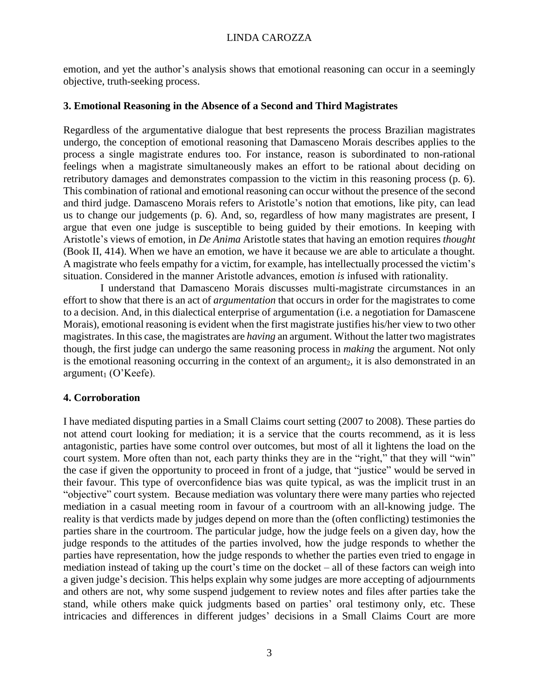emotion, and yet the author's analysis shows that emotional reasoning can occur in a seemingly objective, truth-seeking process.

#### **3. Emotional Reasoning in the Absence of a Second and Third Magistrates**

Regardless of the argumentative dialogue that best represents the process Brazilian magistrates undergo, the conception of emotional reasoning that Damasceno Morais describes applies to the process a single magistrate endures too. For instance, reason is subordinated to non-rational feelings when a magistrate simultaneously makes an effort to be rational about deciding on retributory damages and demonstrates compassion to the victim in this reasoning process (p. 6). This combination of rational and emotional reasoning can occur without the presence of the second and third judge. Damasceno Morais refers to Aristotle's notion that emotions, like pity, can lead us to change our judgements (p. 6). And, so, regardless of how many magistrates are present, I argue that even one judge is susceptible to being guided by their emotions. In keeping with Aristotle's views of emotion, in *De Anima* Aristotle states that having an emotion requires *thought* (Book II, 414). When we have an emotion, we have it because we are able to articulate a thought*.* A magistrate who feels empathy for a victim, for example, has intellectually processed the victim's situation. Considered in the manner Aristotle advances, emotion *is* infused with rationality.

I understand that Damasceno Morais discusses multi-magistrate circumstances in an effort to show that there is an act of *argumentation* that occurs in order for the magistrates to come to a decision. And, in this dialectical enterprise of argumentation (i.e. a negotiation for Damascene Morais), emotional reasoning is evident when the first magistrate justifies his/her view to two other magistrates. In this case, the magistrates are *having* an argument. Without the latter two magistrates though, the first judge can undergo the same reasoning process in *making* the argument. Not only is the emotional reasoning occurring in the context of an argument<sub>2</sub>, it is also demonstrated in an  $argument_1 (O'Keefe)$ .

## **4. Corroboration**

I have mediated disputing parties in a Small Claims court setting (2007 to 2008). These parties do not attend court looking for mediation; it is a service that the courts recommend, as it is less antagonistic, parties have some control over outcomes, but most of all it lightens the load on the court system. More often than not, each party thinks they are in the "right," that they will "win" the case if given the opportunity to proceed in front of a judge, that "justice" would be served in their favour. This type of overconfidence bias was quite typical, as was the implicit trust in an "objective" court system. Because mediation was voluntary there were many parties who rejected mediation in a casual meeting room in favour of a courtroom with an all-knowing judge. The reality is that verdicts made by judges depend on more than the (often conflicting) testimonies the parties share in the courtroom. The particular judge, how the judge feels on a given day, how the judge responds to the attitudes of the parties involved, how the judge responds to whether the parties have representation, how the judge responds to whether the parties even tried to engage in mediation instead of taking up the court's time on the docket – all of these factors can weigh into a given judge's decision. This helps explain why some judges are more accepting of adjournments and others are not, why some suspend judgement to review notes and files after parties take the stand, while others make quick judgments based on parties' oral testimony only, etc. These intricacies and differences in different judges' decisions in a Small Claims Court are more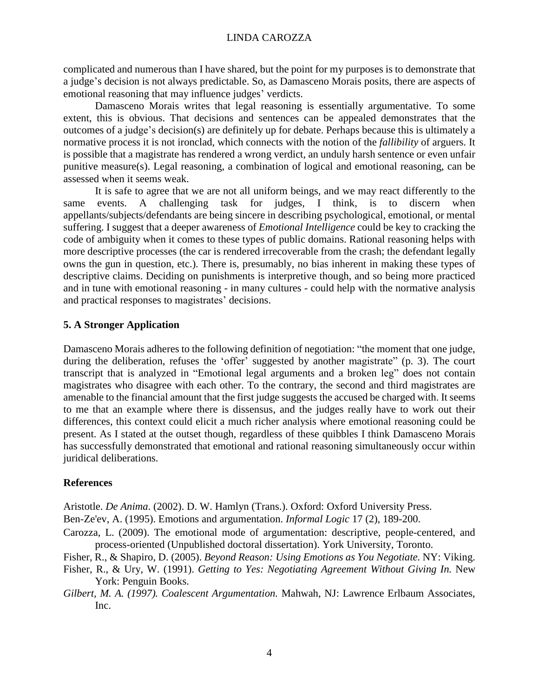complicated and numerous than I have shared, but the point for my purposes is to demonstrate that a judge's decision is not always predictable. So, as Damasceno Morais posits, there are aspects of emotional reasoning that may influence judges' verdicts.

Damasceno Morais writes that legal reasoning is essentially argumentative. To some extent, this is obvious. That decisions and sentences can be appealed demonstrates that the outcomes of a judge's decision(s) are definitely up for debate. Perhaps because this is ultimately a normative process it is not ironclad, which connects with the notion of the *fallibility* of arguers. It is possible that a magistrate has rendered a wrong verdict, an unduly harsh sentence or even unfair punitive measure(s). Legal reasoning, a combination of logical and emotional reasoning, can be assessed when it seems weak.

It is safe to agree that we are not all uniform beings, and we may react differently to the same events. A challenging task for judges, I think, is to discern when appellants/subjects/defendants are being sincere in describing psychological, emotional, or mental suffering. I suggest that a deeper awareness of *Emotional Intelligence* could be key to cracking the code of ambiguity when it comes to these types of public domains. Rational reasoning helps with more descriptive processes (the car is rendered irrecoverable from the crash; the defendant legally owns the gun in question, etc.). There is, presumably, no bias inherent in making these types of descriptive claims. Deciding on punishments is interpretive though, and so being more practiced and in tune with emotional reasoning - in many cultures - could help with the normative analysis and practical responses to magistrates' decisions.

## **5. A Stronger Application**

Damasceno Morais adheres to the following definition of negotiation: "the moment that one judge, during the deliberation, refuses the 'offer' suggested by another magistrate'' (p. 3). The court transcript that is analyzed in "Emotional legal arguments and a broken leg" does not contain magistrates who disagree with each other. To the contrary, the second and third magistrates are amenable to the financial amount that the first judge suggests the accused be charged with. It seems to me that an example where there is dissensus, and the judges really have to work out their differences, this context could elicit a much richer analysis where emotional reasoning could be present. As I stated at the outset though, regardless of these quibbles I think Damasceno Morais has successfully demonstrated that emotional and rational reasoning simultaneously occur within juridical deliberations.

## **References**

Aristotle. *De Anima*. (2002). D. W. Hamlyn (Trans.). Oxford: Oxford University Press.

Ben-Ze'ev, A. (1995). Emotions and argumentation. *Informal Logic* 17 (2), 189-200.

Carozza, L. (2009). The emotional mode of argumentation: descriptive, people-centered, and process-oriented (Unpublished doctoral dissertation). York University, Toronto.

Fisher, R., & Shapiro, D. (2005). *Beyond Reason: Using Emotions as You Negotiate.* NY: Viking.

- Fisher, R., & Ury, W. (1991). *Getting to Yes: Negotiating Agreement Without Giving In.* New York: Penguin Books.
- *Gilbert, M. A. (1997). Coalescent Argumentation.* Mahwah, NJ: Lawrence Erlbaum Associates, Inc.